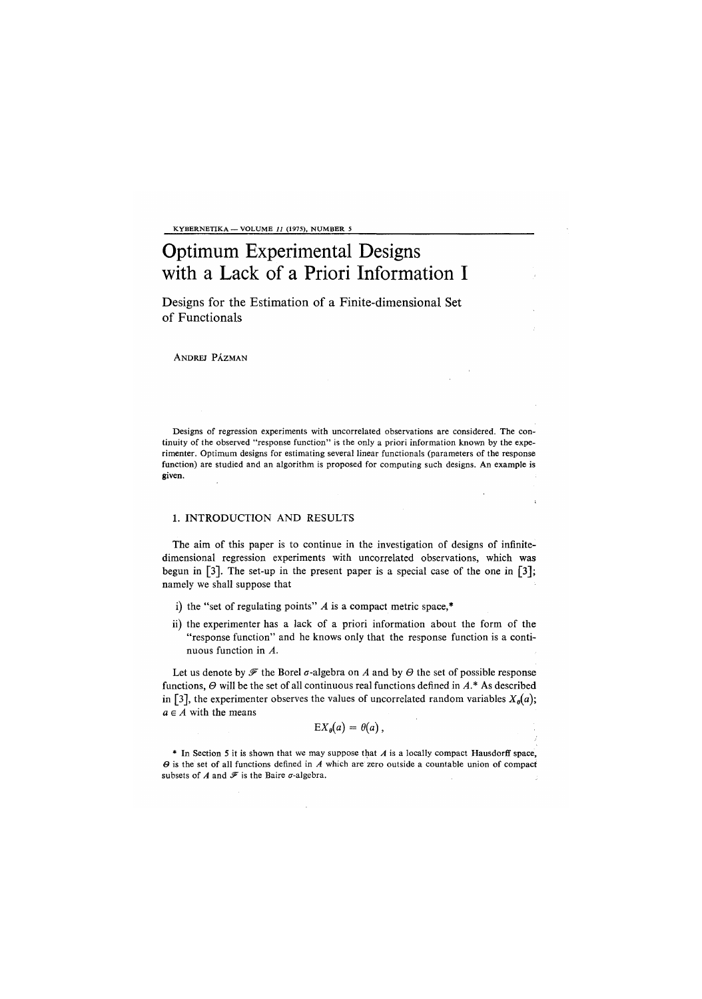KYBERNETIKA — VOLUME *11* (1975), NUMBER 5

# Optimum Experimental Designs with a Lack of a Priori Information I

Designs for the Estimation of a Finite-dimensional Set of Functional

ANDREJ PÁZMAN

Designs of regression experiments with uncorrelated observations are considered. The continuity of the observed "response function" is the only a priori information known by the experimenter. Optimum designs for estimating several linear functionals (parameters of the response function) are studied and an algorithm is proposed for computing such designs. An example is given.

## 1. INTRODUCTION AND RESULTS

The aim of this paper is to continue in the investigation of designs of infinitedimensional regression experiments with uncorrelated observations, which was begun in [3]. The set-up in the present paper is a special case of the one in [3]; namely we shall suppose that

- i) the "set of regulating points" *A* is a compact metric space,\*
- ii) the experimenter has a lack of a priori information about the form of the "response function" and he knows only that the response function is a continuous function in *A.*

Let us denote by  $\mathscr F$  the Borel  $\sigma$ -algebra on  $A$  and by  $\Theta$  the set of possible response functions, *0* will be the set of all continuous real functions defined in *A\** As described in [3], the experimenter observes the values of uncorrelated random variables  $X_{\theta}(a)$ ;  $a \in A$  with the means

$$
EX_{\theta}(a) = \theta(a)\,,
$$

\* In Section 5 it is shown that we may suppose that *A* is a locally compact Hausdorff space, *0* is the set of all functions defined in *A* which are zero outside a countable union of compact subsets of  $A$  and  $\mathscr F$  is the Baire  $\sigma$ -algebra.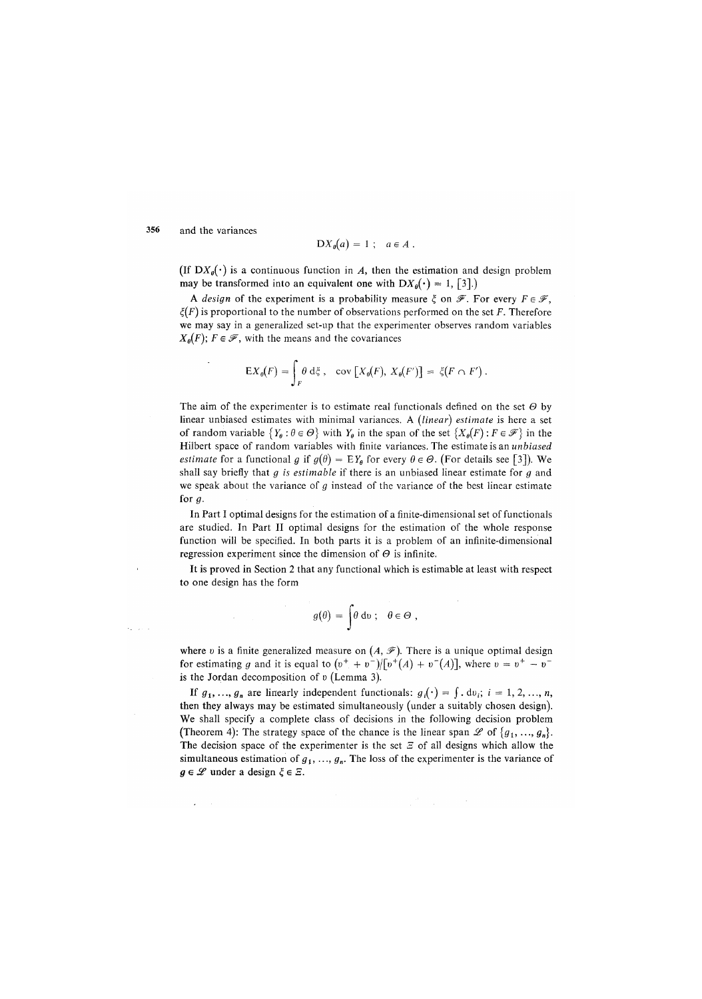356 and the variances

$$
DX_{\theta}(a) = 1 \; ; \quad a \in A \; .
$$

(If  $DX_{\theta}(\cdot)$  is a continuous function in *A*, then the estimation and design problem may be transformed into an equivalent one with  $DX_{\theta}(\cdot) = 1$ , [3].)

A *design* of the experiment is a probability measure  $\xi$  on  $\mathscr{F}$ . For every  $F \in \mathscr{F}$ ,  $\xi(F)$  is proportional to the number of observations performed on the set F. Therefore we may say in a generalized set-up that the experimenter observes random variables  $X_{\theta}(F)$ ;  $F \in \mathcal{F}$ , with the means and the covariances

$$
\mathsf{E} X_{\theta}(F) = \int_{F} \theta \, \mathrm{d}\xi \,, \quad \text{cov}\left[X_{\theta}(F), X_{\theta}(F')\right] = \xi(F \cap F') \,.
$$

The aim of the experimenter is to estimate real functionals defined on the set  $\Theta$  by linear unbiased estimates with minimal variances. A *(linear) estimate* is here a set of random variable  ${Y_0 : \theta \in \Theta}$  with  $Y_0$  in the span of the set  ${X_0(F) : F \in \mathcal{F}}$  in the Hilbert space of random variables with finite variances. The estimate is an *unbiased estimate* for a functional g if  $g(\theta) = EY_{\theta}$  for every  $\theta \in \Theta$ . (For details see [3]). We shall say briefly that *g is estimable* if there is an unbiased linear estimate for *g* and we speak about the variance of *g* instead of the variance of the best linear estimate for  $q$ .

In Part I optimal designs for the estimation of a finite-dimensional set of functional are studied. In Part II optimal designs for the estimation of the whole response function will be specified. In both parts it is a problem of an infinite-dimensional regression experiment since the dimension of *0* is infinite.

It is proved in Section 2 that any functional which is estimable at least with respect to one design has the form

$$
g(\theta) = \int \theta \, \mathrm{d}\mathfrak{v} \, ; \quad \theta \in \Theta \;,
$$

where *v* is a finite generalized measure on  $(A, \mathcal{F})$ . There is a unique optimal design for estimating g and it is equal to  $(v^+ + v^-)/[v^+(A) + v^-(A)]$ , where  $v = v^+ - v^$ is the Jordan decomposition of *v* (Lemma 3).

If  $g_1, ..., g_n$  are linearly independent functionals:  $g_i(\cdot) = \int d\upsilon_i$ ;  $i = 1, 2, ..., n$ , then they always may be estimated simultaneously (under a suitably chosen design). We shall specify a complete class of decisions in the following decision problem (Theorem 4): The strategy space of the chance is the linear span  $\mathscr{L}$  of  $\{g_1, ..., g_n\}$ . The decision space of the experimenter is the set  $\mathcal Z$  of all designs which allow the simultaneous estimation of  $g_1, \ldots, g_n$ . The loss of the experimenter is the variance of  $g \in \mathscr{L}$  under a design  $\xi \in \Xi$ .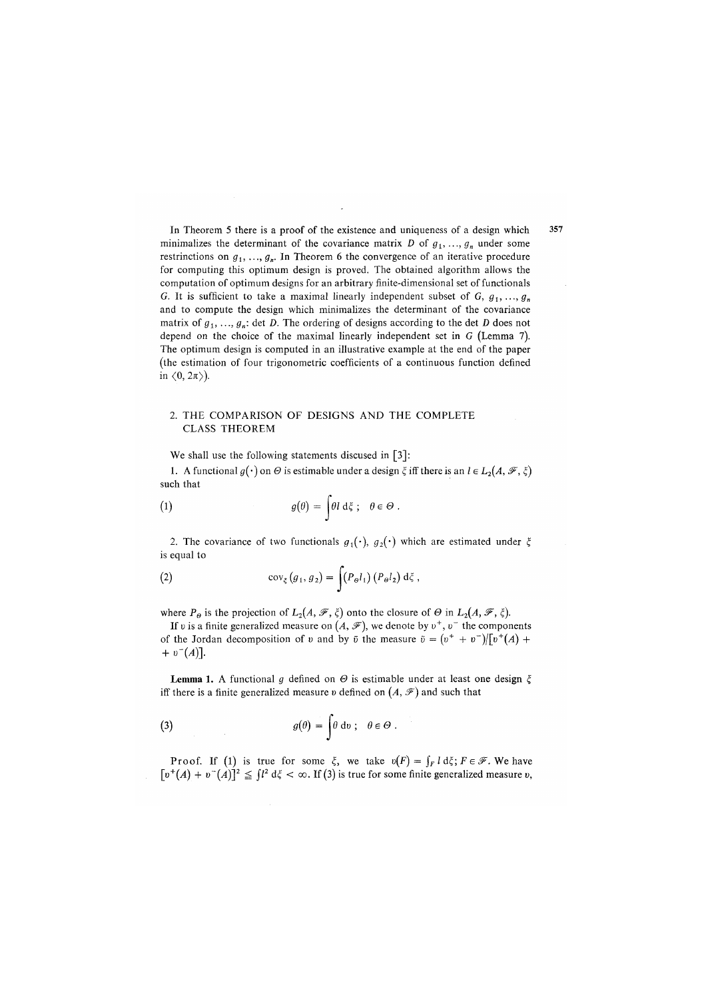In Theorem 5 there is a proof of the existence and uniqueness of a design which minimalizes the determinant of the covariance matrix D of  $g_1, \ldots, g_n$  under some restrinctions on  $g_1, ..., g_n$ . In Theorem 6 the convergence of an iterative procedure for computing this optimum design is proved. The obtained algorithm allows the computation of optimum designs for an arbitrary finite-dimensional set of functionals *G.* It is sufficient to take a maximal linearly independent subset of  $G, g_1, \ldots, g_n$ and to compute the design which minimalizes the determinant of the covariance matrix of  $g_1, \ldots, g_n$ : det *D*. The ordering of designs according to the det *D* does not depend on the choice of the maximal linearly independent set in G (Lemma 7). The optimum design is computed in an illustrative example at the end of the paper (the estimation of four trigonometric coefficients of a continuous function defined in  $\langle 0, 2\pi \rangle$ ).

## 2. THE COMPARISON OF DESIGNS AND THE COMPLETE CLASS THEOREM

We shall use the following statements discused in [3]:

1. A functional  $g(\cdot)$  on  $\Theta$  is estimable under a design  $\xi$  iff there is an  $l \in L_2(A, \mathscr{F}, \xi)$ such that

(1) 
$$
g(\theta) = \int \theta l \, d\xi \; ; \quad \theta \in \Theta \; .
$$

2. The covariance of two functionals  $g_1(\cdot)$ ,  $g_2(\cdot)$  which are estimated under  $\xi$ is equal to

(2) 
$$
\operatorname{cov}_{\xi}(g_1, g_2) = \int (P_{\theta}l_1) (P_{\theta}l_2) d\xi,
$$

where  $P_{\theta}$  is the projection of  $L_2(A, \mathcal{F}, \xi)$  onto the closure of  $\Theta$  in  $L_2(A, \mathcal{F}, \xi)$ .

If v is a finite generalized measure on  $(A, \mathcal{F})$ , we denote by  $v^+, v^-$  the components of the Jordan decomposition of v and by  $\bar{v}$  the measure  $\bar{v} = (v^+ + v^-)/[v^+(A) +$  $+ v^{-}(A)$ ].

**Lemma 1.** A functional g defined on  $\Theta$  is estimable under at least one design  $\xi$ iff there is a finite generalized measure v defined on  $(A, \mathcal{F})$  and such that

(3) 
$$
g(\theta) = \int \theta \, \mathrm{d}\nu \, ; \quad \theta \in \Theta \, .
$$

Proof. If (1) is true for some  $\xi$ , we take  $v(F) = \int_F l \, d\xi$ ;  $F \in \mathscr{F}$ . We have  $\lceil v^+(A) + v^-(A) \rceil^2 \leq \lceil l^2 \, d\xi < \infty$ . If (3) is true for some finite generalized measure *v*,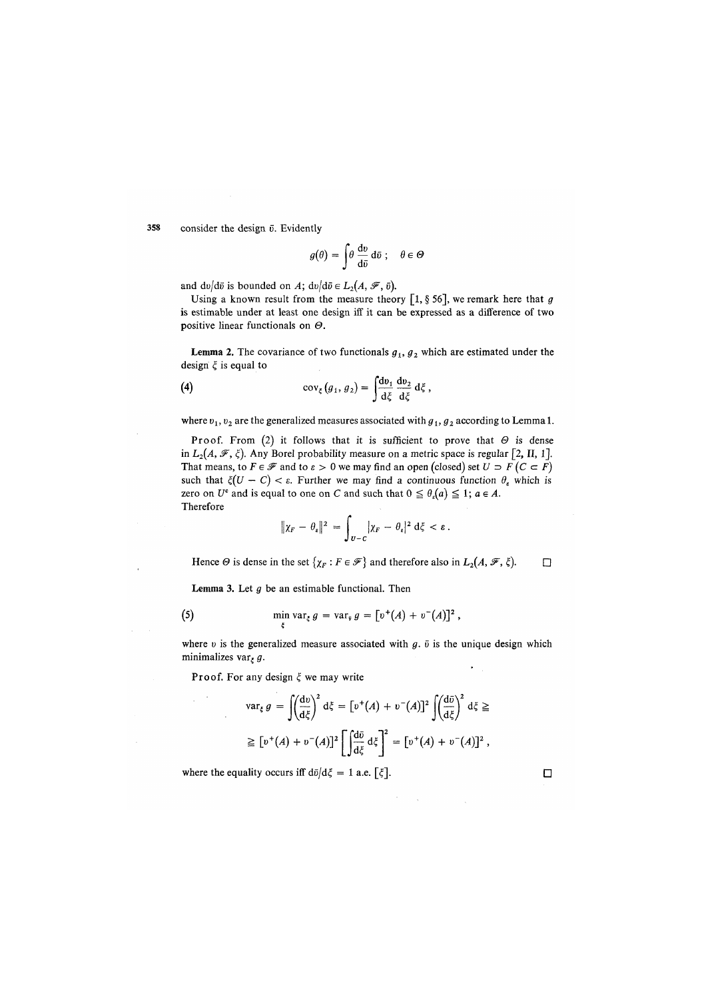358 consider the design  $\bar{v}$ . Evidently

$$
g(\theta) = \int \theta \, \frac{\mathrm{d}v}{\mathrm{d}\bar{v}} \, \mathrm{d}\bar{v} \, ; \quad \theta \in \mathcal{C}
$$

and  $dv/d\bar{v}$  is bounded on A;  $dv/d\bar{v} \in L_2(A, \mathscr{F}, \bar{v}).$ 

Using a known result from the measure theory [1, § 56], we remark here that *g*  is estimable under at least one design iff it can be expressed as a difference of two positive linear functionals on *0.* 

**Lemma 2.** The covariance of two functionals  $g_1$ ,  $g_2$  which are estimated under the design  $\xi$  is equal to

(4) 
$$
\operatorname{cov}_{\xi}(g_1, g_2) = \int \frac{\mathrm{d}v_1}{\mathrm{d}\xi} \frac{\mathrm{d}v_2}{\mathrm{d}\xi} \mathrm{d}\xi,
$$

where  $v_1$ ,  $v_2$  are the generalized measures associated with  $g_1$ ,  $g_2$  according to Lemma 1.

Proof. From (2) it follows that it is sufficient to prove that  $\Theta$  is dense in  $L_2(A, \mathscr{F}, \xi)$ . Any Borel probability measure on a metric space is regular [2, II, 1]. That means, to  $F \in \mathcal{F}$  and to  $\varepsilon > 0$  we may find an open (closed) set  $U \supset F(C \subset F)$ such that  $\xi(U - C) < \varepsilon$ . Further we may find a continuous function  $\theta_{\varepsilon}$  which is zero on  $U^c$  and is equal to one on C and such that  $0 \leq \theta_e(a) \leq 1$ ;  $a \in A$ . Therefore

$$
\|\chi_F - \theta_\varepsilon\|^2 = \int_{U-C} |\chi_F - \theta_\varepsilon|^2 d\xi < \varepsilon.
$$

Hence  $\Theta$  is dense in the set  $\{\chi_F : F \in \mathcal{F}\}\$  and therefore also in  $L_2(A, \mathcal{F}, \xi)$ .

Lemma 3. Let *g* be an estimable functional. Then

(5) 
$$
\min_{x} \text{var}_{\xi} g = \text{var}_{\bar{y}} g = [v^+(A) + v^-(A)]^2,
$$

where  $v$  is the generalized measure associated with  $g$ .  $\bar{v}$  is the unique design which minimalizes var<sub>*z*</sub> g.

Proof. For any design  $\xi$  we may write

*i* 

$$
\operatorname{var}_{\xi} g = \int \left(\frac{\mathrm{d}v}{\mathrm{d}\xi}\right)^2 \mathrm{d}\xi = \left[v^+(A) + v^-(A)\right]^2 \int \left(\frac{\mathrm{d}\bar{v}}{\mathrm{d}\xi}\right)^2 \mathrm{d}\xi \ge
$$
  

$$
\ge \left[v^+(A) + v^-(A)\right]^2 \left[\int \frac{\mathrm{d}\bar{v}}{\mathrm{d}\xi} \mathrm{d}\xi\right]^2 = \left[v^+(A) + v^-(A)\right]^2,
$$

where the equality occurs iff  $d\bar{\nu}/d\xi = 1$  a.e.  $\lceil \xi \rceil$ .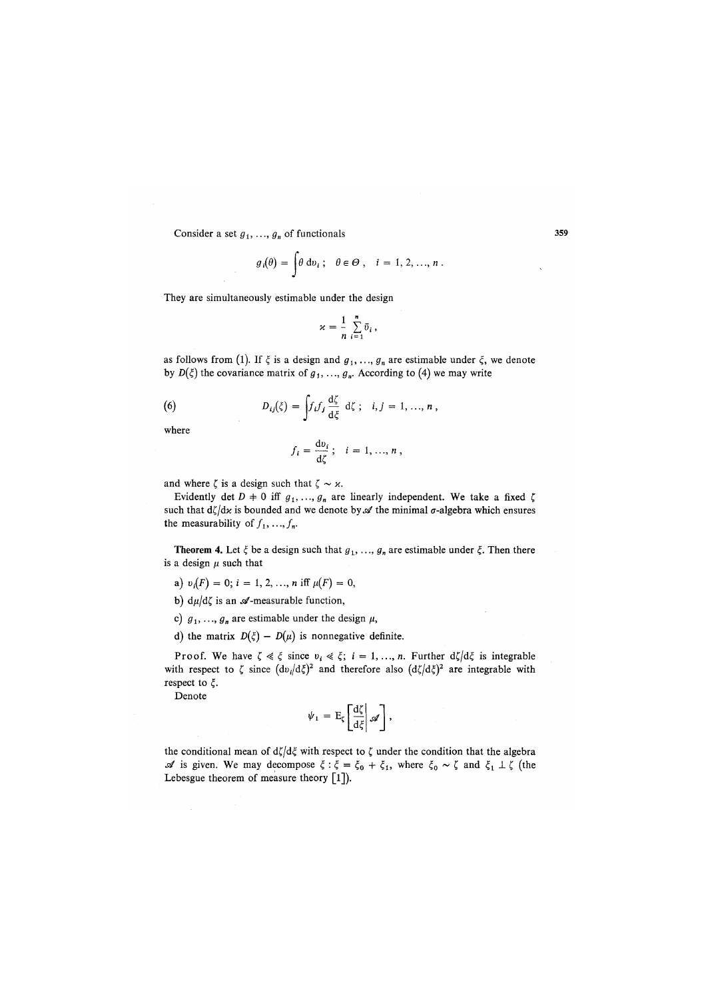Consider a set  $g_1, ..., g_n$  of functionals

$$
g_i(\theta) = \int \theta \, \mathrm{d}v_i \, ; \quad \theta \in \Theta \, , \quad i = 1, 2, ..., n \, .
$$

They are simultaneously estimable under the design

$$
\varkappa = \frac{1}{n} \sum_{i=1}^n \bar{v}_i ,
$$

as follows from (1). If  $\xi$  is a design and  $g_1, ..., g_n$  are estimable under  $\xi$ , we denote by  $D(\xi)$  the covariance matrix of  $g_1, ..., g_n$ . According to (4) we may write

(6) 
$$
D_{ij}(\xi) = \int f_i f_j \frac{d\zeta}{d\xi} d\zeta; \quad i, j = 1, ..., n,
$$

where

$$
f_i=\frac{\mathrm{d}v_i}{\mathrm{d}\zeta};\quad i=1,...,n\,,
$$

and where  $\zeta$  is a design such that  $\zeta \sim \varkappa$ .

Evidently det  $D = 0$  iff  $g_1, ..., g_n$  are linearly independent. We take a fixed  $\zeta$ such that  $d\zeta/dx$  is bounded and we denote by  $\mathscr A$  the minimal  $\sigma$ -algebra which ensures the measurability of  $f_1, \ldots, f_n$ .

**Theorem 4.** Let  $\xi$  be a design such that  $g_1, \ldots, g_n$  are estimable under  $\xi$ . Then there is a design  $\mu$  such that

- a)  $v_i(F) = 0$ ;  $i = 1, 2, ..., n$  iff  $\mu(F) = 0$ ,
- b)  $d\mu/d\zeta$  is an  $\mathscr A$ -measurable function,
- c)  $g_1, ..., g_n$  are estimable under the design  $\mu$ ,
- d) the matrix  $D(\xi) D(\mu)$  is nonnegative definite.

Proof. We have  $\zeta \ll \xi$  since  $v_i \ll \xi$ ;  $i = 1, ..., n$ . Further  $d\zeta/d\xi$  is integrable with respect to  $\zeta$  since  $(d\upsilon_i/d\xi)^2$  and therefore also  $(d\zeta/d\xi)^2$  are integrable with respect to *£,.* 

Denote

$$
\psi_1 = E_\zeta \left[ \frac{d\zeta}{d\xi} \middle| \mathscr{A} \right],
$$

the conditional mean of  $d\zeta/d\zeta$  with respect to  $\zeta$  under the condition that the algebra *st* is given. We may decompose  $\xi$ :  $\xi = \xi_0 + \xi_1$ , where  $\xi_0 \sim \zeta$  and  $\xi_1 \perp \zeta$  (the Lebesgue theorem of measure theory [1]).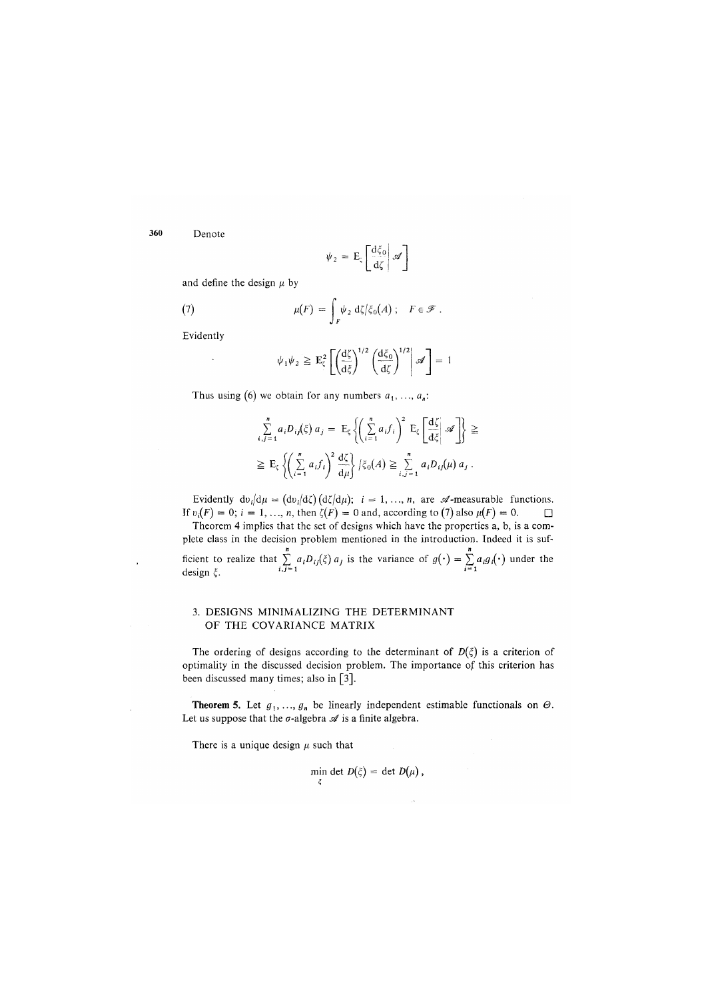**360** Denote

$$
\psi_2 = E_\zeta \left[ \frac{d\xi_0}{d\zeta} \middle| \mathscr{A} \right]
$$

and define the design  $\mu$  by

(7) 
$$
\mu(F) = \int_F \psi_2 \, d\zeta / \xi_0(A) \; ; \quad F \in \mathcal{F} \; .
$$

Evidently

$$
\psi_1 \psi_2 \geq \mathbf{E}_{\zeta}^2 \left[ \left( \frac{d\zeta}{d\zeta} \right)^{1/2} \left( \frac{d\zeta_0}{d\zeta} \right)^{1/2} \middle| \mathscr{A} \right] = 1
$$

Thus using (6) we obtain for any numbers  $a_1, \ldots, a_n$ :

$$
\sum_{i,j=1}^{n} a_i D_{ij}(\xi) a_j = \mathbb{E}_{\xi} \left\{ \left( \sum_{i=1}^{n} a_i f_i \right)^2 \mathbb{E}_{\xi} \left[ \frac{d \zeta}{d \xi} \middle| \mathcal{A} \right] \right\} \geq \sum_{i,j=1}^{n} \mathbb{E}_{\xi} \left\{ \left( \sum_{i=1}^{n} a_i f_i \right)^2 \frac{d \zeta}{d \mu} \right\} \left| \zeta_0(A) \geq \sum_{i,j=1}^{n} a_i D_{ij}(\mu) a_j \right|.
$$

Evidently  $dv_i/d\mu = (dv_i/d\zeta) (d\zeta/d\mu); i = 1, ..., n$ , are  $\mathscr A$ -measurable functions. If  $v_i(F) = 0$ ;  $i = 1, ..., n$ , then  $\zeta(F) = 0$  and, according to (7) also  $\mu(F) = 0$ .

Theorem 4 implies that the set of designs which have the properties a, b, is a complete class in the decision problem mentioned in the introduction. Indeed it is sufplete class in the decision problem mentioned in the introduction. Indeed it is sufficient to realize that  $\sum a_i D_{ij}(\xi) a_j$  is the variance of  $g(\cdot) = \sum a_i g_i(\cdot)$  under the design  $\xi$ . *l*,  $J-1$  1 and 1.5 and 1.5 and 1.6 and 1.6 and 1.6 and 1.6 and 1.6 and 1.6 and 1.6 and 1.6 and 1.6 and 1.6 and 1.6 and 1.6 and 1.6 and 1.6 and 1.6 and 1.6 and 1.6 and 1.6 and 1.6 and 1.6 and 1.6 and 1.6 a

### 3. DESIGNS MINIMALIZING THE DETERMINANT OF THE COVARIANCE MATRIX

The ordering of designs according to the determinant of  $D(\xi)$  is a criterion of optimality in the discussed decision problem. The importance of this criterion has been discussed many times; also in [3].

**Theorem 5.** Let  $g_1, \ldots, g_n$  be linearly independent estimable functionals on  $\Theta$ . Let us suppose that the  $\sigma$ -algebra  $\mathscr A$  is a finite algebra.

There is a unique design  $\mu$  such that

$$
\min_{\xi} \det D(\xi) = \det D(\mu) ,
$$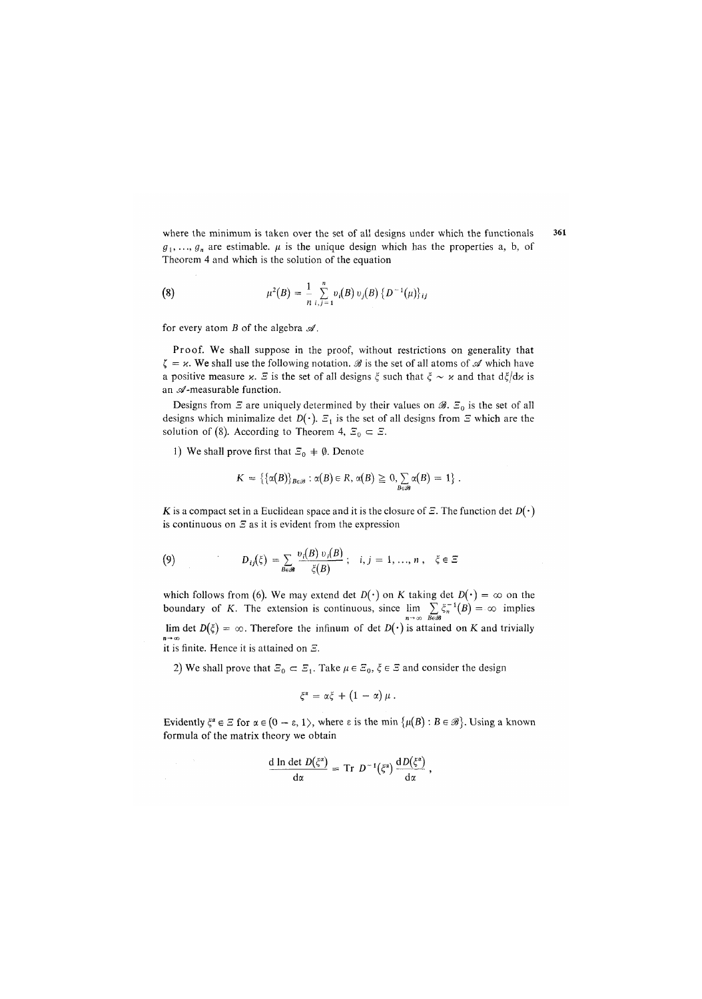where the minimum is taken over the set of all designs under which the functionals  $g_1, \ldots, g_n$  are estimable.  $\mu$  is the unique design which has the properties a, b, of Theorem 4 and which is the solution of the equation

(8) 
$$
\mu^{2}(B) = \frac{1}{n} \sum_{i,j=1}^{n} v_{i}(B) v_{j}(B) \{D^{-1}(\mu)\}_{ij}
$$

for every atom  $B$  of the algebra  $\mathcal{A}$ .

Proof. We shall suppose in the proof, without restrictions on generality that  $\zeta = \varkappa$ . We shall use the following notation. *A* is the set of all atoms of A which have a positive measure x.  $\mathcal{E}$  is the set of all designs  $\xi$  such that  $\xi \sim x$  and that  $d\xi/dx$  is an  $\mathscr A$ -measurable function.

Designs from  $\Xi$  are uniquely determined by their values on  $\mathscr{B}$ .  $\Xi_0$  is the set of all designs which minimalize det  $D(\cdot)$ .  $\mathcal{Z}_1$  is the set of all designs from  $\mathcal Z$  which are the solution of (8). According to Theorem 4,  $\mathcal{Z}_0 \subset \mathcal{Z}$ .

1) We shall prove first that  $\mathcal{Z}_0 \neq \emptyset$ . Denote

$$
K = \left\{ \{\alpha(B)\}_{B \in \mathscr{B}} : \alpha(B) \in R, \, \alpha(B) \geq 0, \sum_{B \in \mathscr{B}} \alpha(B) = 1 \right\}.
$$

 $K$  is a compact set in a Euclidean space and it is the closure of  $E$ . The function det  $D(·)$ is continuous on  $\mathcal E$  as it is evident from the expression

(9) 
$$
D_{ij}(\xi) = \sum_{B \in \mathcal{B}} \frac{v_i(B) v_i(B)}{\xi(B)}; \quad i, j = 1, ..., n, \quad \xi \in \Xi
$$

which follows from (6). We may extend det  $D(\cdot)$  on *K* taking det  $D(\cdot) = \infty$  on the boundary of *K*. The extension is continuous, since  $\lim_{n \to \infty} \sum_{B \in \mathscr{B}} \xi_n^{-1}(B) = \infty$  implies lim det  $D(\xi) = \infty$ . Therefore the infinum of det  $D(\cdot)$  is attained on *K* and trivially it is finite. Hence it is attained on S.

2) we shall prove that  $\mathcal{Z}_0 \subseteq \mathcal{Z}_1$ . Take  $\mu \in \mathcal{Z}_0$ ,  $\zeta \in \mathcal{Z}$  and consider the design

$$
\xi^{\alpha} = \alpha \xi + (1 - \alpha) \mu.
$$

Evidently  $\xi^* \in \Xi$  for  $\alpha \in (0 - \varepsilon, 1)$ , where  $\varepsilon$  is the min  $\{\mu(B) : B \in \mathcal{B}\}\)$ . Using a known formula of the matrix theory we obtain

$$
\frac{\mathrm{d} \ln \det D(\xi^{\alpha})}{\mathrm{d} \alpha} = \mathrm{Tr} \ D^{-1}(\xi^{\alpha}) \frac{\mathrm{d} D(\xi^{\alpha})}{\mathrm{d} \alpha} ,
$$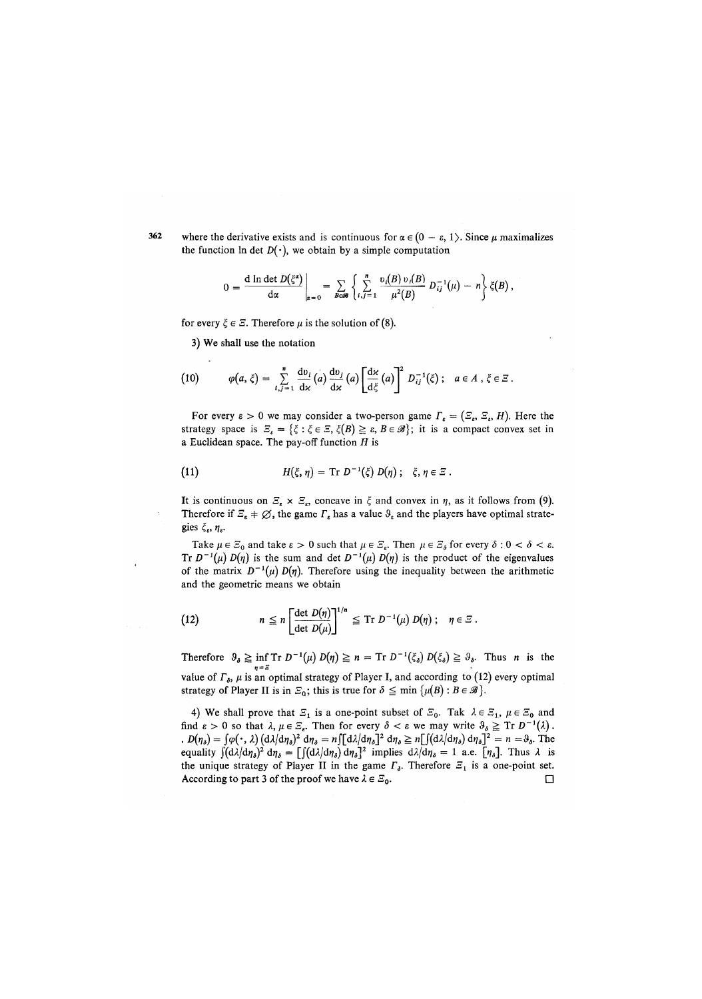362 where the derivative exists and is continuous for  $\alpha \in (0 - \varepsilon, 1)$ . Since *u* maximalizes the function  $\ln$  det  $D(\cdot)$ , we obtain by a simple computation

$$
0 = \frac{d \ln \det D(\xi^{\alpha})}{d \alpha} \bigg|_{\alpha = 0} = \sum_{B \in \mathcal{B}} \left\{ \sum_{i,j=1}^{n} \frac{v_i(B) v_i(B)}{\mu^2(B)} D_{ij}^{-1}(\mu) - n \right\} \xi(B),
$$

for every  $\zeta \in \mathcal{Z}$ . Therefore  $\mu$  is the solution of (8).

3) We shall use the notation

(10) 
$$
\varphi(a,\xi) = \sum_{i,j=1}^n \frac{dv_i}{dx}(a) \frac{dv_j}{dx}(a) \left[ \frac{dx}{d\xi}(a) \right]^2 D_{ij}^{-1}(\xi); \quad a \in A, \xi \in \Xi.
$$

For every  $\varepsilon > 0$  we may consider a two-person game  $\Gamma_{\varepsilon} = (\varepsilon_{\varepsilon}, \varepsilon_{\varepsilon}, H)$ . Here the strategy space is  $\mathcal{Z}_k = \{\xi : \xi \in \mathcal{Z}, \xi(B) \geq \varepsilon, B \in \mathscr{B}\}\; ; \;$  it is a compact convex set in a Euclidean space. The pay-off function *H* is

(11) 
$$
H(\xi, \eta) = \text{Tr } D^{-1}(\xi) D(\eta) ; \quad \xi, \eta \in \Xi.
$$

It is continuous on  $\mathcal{Z}_\varepsilon \times \mathcal{Z}_\varepsilon$ , concave in  $\xi$  and convex in  $\eta$ , as it follows from (9). Therefore if  $\mathcal{Z}_{\varepsilon} + \emptyset$ , the game  $\Gamma_{\varepsilon}$  has a value  $\vartheta_{\varepsilon}$  and the players have optimal strategies  $\xi_{\varepsilon}, \eta_{\varepsilon}$ .

Take  $\mu \in \mathbb{Z}_0$  and take  $\varepsilon > 0$  such that  $\mu \in \mathbb{Z}_\varepsilon$ . Then  $\mu \in \mathbb{Z}_\delta$  for every  $\delta : 0 < \delta < \varepsilon$ . Tr  $D^{-1}(\mu) D(\eta)$  is the sum and det  $D^{-1}(\mu) D(\eta)$  is the product of the eigenvalues of the matrix  $D^{-1}(\mu) D(\eta)$ . Therefore using the inequality between the arithmetic and the geometric means we obtain

(12) 
$$
n \leq n \left[ \frac{\det D(\eta)}{\det D(\mu)} \right]^{1/n} \leq \mathrm{Tr} \ D^{-1}(\mu) \ D(\eta) ; \quad \eta \in \mathbb{Z}.
$$

Therefore  $\vartheta_{\delta} \geq \inf \mathrm{Tr} D^{-1}(\mu) D(\eta) \geq n = \mathrm{Tr} D^{-1}(\xi_{\delta}) D(\xi_{\delta}) \geq \vartheta_{\delta}$ . Thus *n* is the value of  $\Gamma_{\delta}$ ,  $\mu$  is an optimal strategy of Player I, and according to (12) every optimal strategy of Player II is in  $\mathbb{F}_0$ ; this is true for  $\delta \leq \min \{ \mu(B) : B \in \mathscr{B} \}.$ 

4) We shall prove that  $\mathcal{Z}_1$  is a one-point subset of  $\mathcal{Z}_0$ . Tak  $\lambda \in \mathcal{Z}_1$ ,  $\mu \in \mathcal{Z}_0$  and find  $\varepsilon > 0$  so that  $\lambda, \mu \in \mathbb{Z}_{\varepsilon}$ . Then for every  $\delta < \varepsilon$  we may write  $\theta_{\delta} \geq \text{Tr } D^{-1}(\lambda)$ .  $D(n_\delta) = \int \varphi(\cdot, \lambda) \left(\frac{d\lambda}{d\eta_\delta}\right)^2 d\eta_\delta = n \int [\frac{d\lambda}{d\eta_\delta}]^2 d\eta_\delta \ge n \left[\int (\frac{d\lambda}{d\eta_\delta}) d\eta_\delta\right]^2 = n = \vartheta_\delta$ . The equality  $\int (d\lambda/d\eta_s)^2 d\eta_s = \int \int (d\lambda/d\eta_s) d\eta_s^2$  implies  $d\lambda/d\eta_s = 1$  a.e.  $[\eta_s]$ . Thus  $\lambda$  is the unique strategy of Player II in the game  $\Gamma_{\delta}$ . Therefore  $\Xi_1$  is a one-point set. According to part 3 of the proof we have  $\lambda \in \mathcal{Z}_0$ .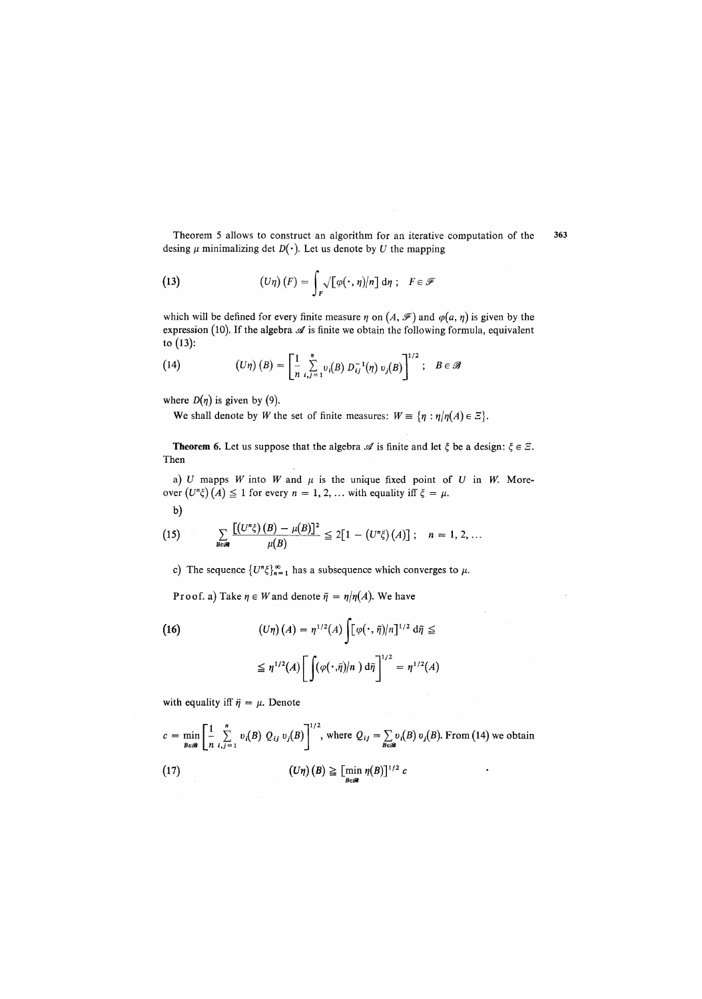Theorem 5 allows to construct an algorithm for an iterative computation of the 363 desing  $\mu$  minimalizing det  $D(\cdot)$ . Let us denote by *U* the mapping

(13) 
$$
(U\eta)(F) = \int_{F} \sqrt{[\varphi(\cdot, \eta)/n]} d\eta; \quad F \in \mathscr{F}
$$

which will be defined for every finite measure  $\eta$  on  $(A, \mathcal{F})$  and  $\varphi(a, \eta)$  is given by the expression *(*10). If the algebra *si* is finite we obtain the following formula, equivalent to (13):

(14) 
$$
(U\eta) (B) = \left[\frac{1}{n} \sum_{i,j=1}^{n} v_i(B) D_{ij}^{-1}(\eta) v_j(B)\right]^{1/2}; \quad B \in \mathscr{B}
$$

where  $D(\eta)$  is given by (9).

We shall denote by *W* the set of finite measures:  $W = \{\eta : \eta | \eta(A) \in \Xi\}$ .

**Theorem 6.** Let us suppose that the algebra  $\mathscr A$  is finite and let  $\xi$  be a design:  $\xi \in \mathbb Z$ . Then

a)  $U$  mapps  $W$  into  $W$  and  $\mu$  is the unique fixed point of  $U$  in  $W$ . Moreover  $(U^n \xi)(A) \leq 1$  for every  $n = 1, 2, \ldots$  with equality iff  $\xi = \mu$ .

$$
\mathbf{b})
$$

(15) 
$$
\sum_{B \in \mathcal{B}} \frac{\left[ (U^n \xi) (B) - \mu(B) \right]^2}{\mu(B)} \leq 2 \left[ 1 - \left( U^n \xi \right) (A) \right]; \quad n = 1, 2, ...
$$

c) The sequence  $\{U^n\xi\}_{n=1}^{\infty}$  has a subsequence which converges to  $\mu$ .

Proof. a) Take  $\eta \in W$  and denote  $\bar{\eta} = \eta / \eta(A)$ . We have

(16)  
\n
$$
(U\eta)(A) = \eta^{1/2}(A) \int [\varphi(\cdot, \bar{\eta})/n]^{1/2} d\bar{\eta} \le
$$
\n
$$
\leq \eta^{1/2}(A) \left[ \int (\varphi(\cdot, \bar{\eta})/n) d\bar{\eta} \right]^{1/2} = \eta^{1/2}(A)
$$

with equality iff  $\bar{\eta} = \mu$ . Denote

$$
c = \min_{B \in \mathcal{B}} \left[ \frac{1}{n} \sum_{i,j=1}^{n} v_i(B) Q_{ij} v_j(B) \right]^{1/2}, \text{ where } Q_{ij} = \sum_{B \in \mathcal{B}} v_i(B) v_j(B). \text{ From (14) we obtain}
$$
\n
$$
(17) \qquad (U\eta)(B) \geq \left[ \min_{B \in \mathcal{B}} \eta(B) \right]^{1/2} c
$$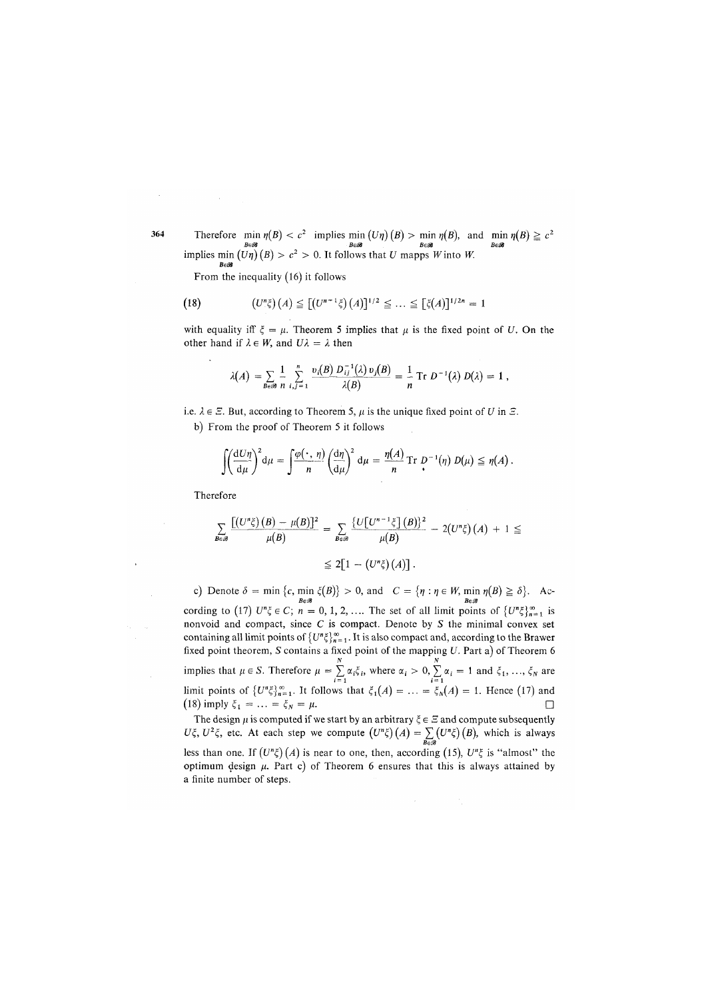Therefore  $\min_{B \in \mathcal{B}} \eta(B) < c^2$  implies  $\min_{B \in \mathcal{B}} (U\eta)(B) > \min_{B \in \mathcal{B}} \eta(B)$ , and  $\min_{B \in \mathcal{B}} \eta(B) \ge c^2$ <br>implies  $\min_{B \in \mathcal{B}} (U\eta)(B) > c^2 > 0$ . It follows that U mapps W into W.

From the inequality *(*16) it follows

$$
(18) \qquad (U^n\xi)(A) \leq [(U^{n-1}\xi)(A)]^{1/2} \leq \ldots \leq [\xi(A)]^{1/2n} = 1
$$

with equality iff  $\xi = \mu$ . Theorem 5 implies that  $\mu$  is the fixed point of *U*. On the other hand if  $\lambda \in W$ , and  $U\lambda = \lambda$  then

$$
\lambda(A) = \sum_{B \in \mathcal{B}} \frac{1}{n} \sum_{i,j=1}^n \frac{v_i(B) D_{ij}^{-1}(\lambda) v_j(B)}{\lambda(B)} = \frac{1}{n} \text{ Tr } D^{-1}(\lambda) D(\lambda) = 1,
$$

i.e.  $\lambda \in \mathbb{Z}$ . But, according to Theorem 5,  $\mu$  is the unique fixed point of *U* in  $\mathbb{Z}$ . b) From the proof of Theorem 5 it follows

$$
\int \left(\frac{\mathrm{d}U\eta}{\mathrm{d}\mu}\right)^2 \mathrm{d}\mu = \int \frac{\varphi(\cdot,\,\eta)}{n} \left(\frac{\mathrm{d}\eta}{\mathrm{d}\mu}\right)^2 \mathrm{d}\mu = \frac{\eta(A)}{n} \mathrm{Tr} \, D^{-1}(\eta) \, D(\mu) \leq \eta(A) \, .
$$

Therefore

$$
\sum_{B \in \mathscr{B}} \frac{\left[ (U^n \xi)(B) - \mu(B) \right]^2}{\mu(B)} = \sum_{B \in \mathscr{B}} \frac{\left\{ U \left[ U^{n-1} \xi \right](B) \right\}^2}{\mu(B)} - 2(U^n \xi)(A) + 1 \leq
$$
  

$$
\leq 2 \left[ 1 - \left( U^n \xi \right)(A) \right].
$$

c) Denote  $\delta = \min \{c, \min \xi(B)\} > 0$ , and  $C = \{\eta : \eta \in W, \min \eta(B) \ge \delta\}$ . According to (17)  $U^n \xi \in C$ ;  $n = 0, 1, 2, ...$  The set of all limit points of  $\{U^n \xi\}_{n=1}^{\infty}$  is nonvoid and compact, since *C* is compact. Denote by *S* the minimal convex set containing all limit points of  ${U^n \xi}_{n=1}^{\infty}$ . It is also compact and, according to the Brawer fixed point theorem, *S* contains a fixed point of the mapping *U*. Part a) of Theorem 6<br>implies that  $\mu \in S$ . Therefore  $\mu = \sum_{i=1}^{N} \alpha_i \xi_i$ , where  $\alpha_i > 0$ ,  $\sum_{i=1}^{N} \alpha_i = 1$  and  $\xi_1, ..., \xi_N$  are<br>limit points of  $\{U^n \$ (18) imply  $\xi_1 = ... = \xi_N = \mu$ .

The design  $\mu$  is computed if we start by an arbitrary  $\xi \in \mathbb{Z}$  and compute subsequently  $U\xi, U^2\xi$ , etc. At each step we compute  $(U^n\xi)(A) = \sum_{B \in \mathscr{B}} (U^n\xi)(B)$ , which is always less than one. If  $(U^n\xi)(A)$  is near to one, then, according (15),  $U^n\xi$  is "almost" the optimum design  $\mu$ . Part c) of Theorem 6 ensures that this is always attained by a finite number of steps.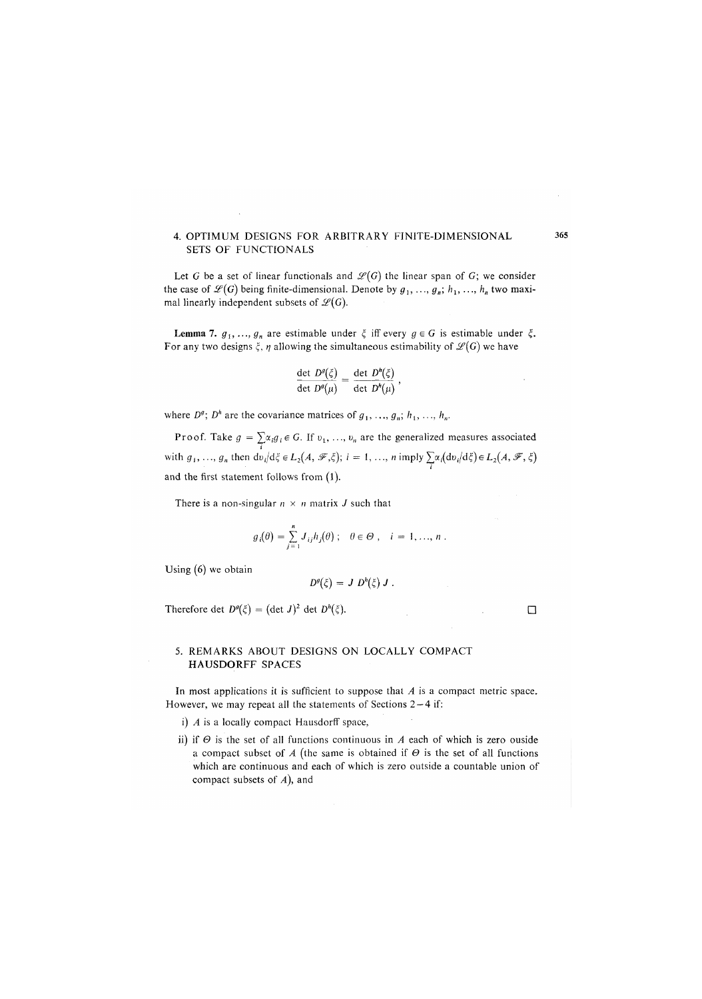#### 4. OPTIMUM DESIGNS FOR ARBITRARY FINITE-DIMENSIONAL SETS OF FUNCTIONALS

Let G be a set of linear functionals and  $\mathcal{L}(G)$  the linear span of G; we consider the case of  $\mathcal{L}(G)$  being finite-dimensional. Denote by  $g_1, \ldots, g_n; h_1, \ldots, h_n$  two maximal linearly independent subsets of  $\mathcal{L}(G)$ .

Lemma 7.  $g_1, ..., g_n$  are estimable under  $\xi$  iff every  $g \in G$  is estimable under  $\xi$ . For any two designs  $\xi$ ,  $\eta$  allowing the simultaneous estimability of  $\mathscr{L}(G)$  we have

$$
\frac{\det D^g(\xi)}{\det D^g(\mu)} = \frac{\det D^h(\xi)}{\det D^h(\mu)},
$$

where  $D^g$ ;  $D^h$  are the covariance matrices of  $g_1, \ldots, g_n; h_1, \ldots, h_n$ .

Proof. Take  $g = \sum_i \alpha_i g_i \in G$ . If  $v_1, \ldots, v_n$  are the generalized measures associated with  $g_1, ..., g_n$  then  $dv_i/d\xi \in L_2(A, \mathcal{F}, \xi); i = 1, ..., n$  imply  $\sum_{i} \alpha_i (dv_i/d\xi) \in L_2(A, \mathcal{F}, \xi)$ and the first statement follows from (1).

There is a non-singular  $n \times n$  matrix *J* such that

$$
g_i(\theta) = \sum_{j=1}^n J_{ij} h_j(\theta) ; \quad \theta \in \Theta , \quad i = 1, ..., n .
$$

Using (6) we obtain

$$
D^g(\xi) = J D^h(\xi) J.
$$

Therefore det  $D^{\theta}(\xi) = (\det J)^2$  det  $D^h(\xi)$ .

### 5. REMARKS ABOUT DESIGNS ON LOCALLY COMPACT HAUSDORFF SPACES

In most applications it is sufficient to suppose that *A* is a compact metric space. However, we may repeat all the statements of Sections  $2-4$  if:

- i) *A* is a locally compact Hausdorff space,
- ii) if  $\Theta$  is the set of all functions continuous in  $A$  each of which is zero ouside a compact subset of  $A$  (the same is obtained if  $\Theta$  is the set of all functions which are continuous and each of which is zero outside a countable union of compact subsets of *A*), and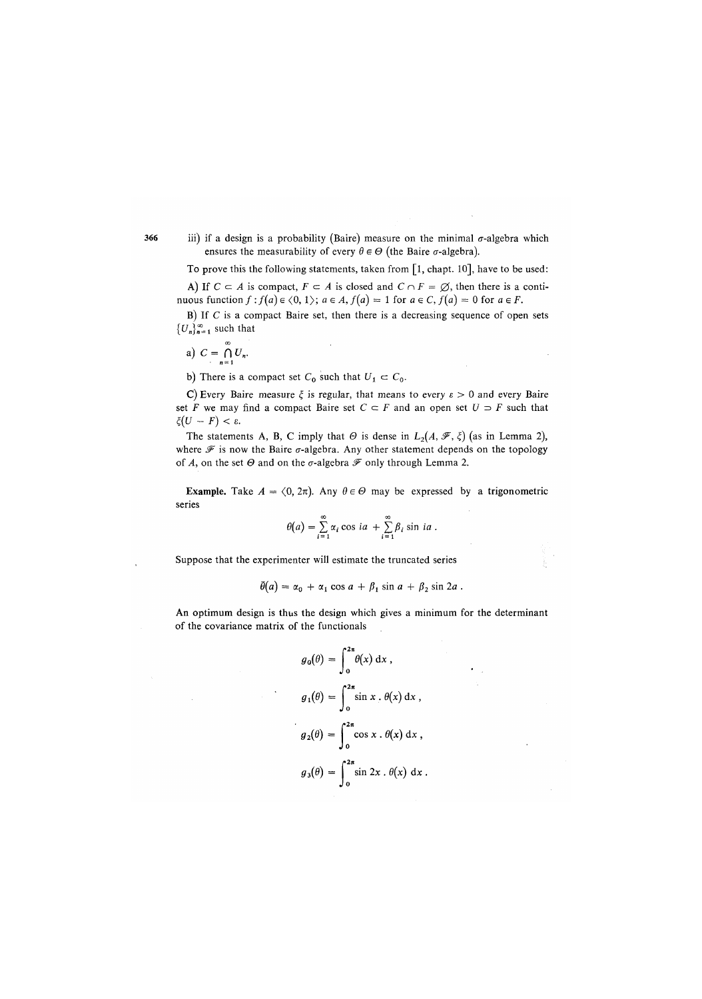iii) if a design is a probability (Baire) measure on the minimal  $\sigma$ -algebra which ensures the measurability of every  $\theta \in \Theta$  (the Baire  $\sigma$ -algebra).

To prove this the following statements, taken from  $\lceil 1$ , chapt. 10], have to be used: A) If  $C \subset A$  is compact,  $F \subset A$  is closed and  $C \cap F = \emptyset$ , then there is a continuous function  $f : f(a) \in \langle 0, 1 \rangle$ ;  $a \in A$ ,  $f(a) = 1$  for  $a \in C$ ,  $f(a) = 0$  for  $a \in F$ .

B) If  $C$  is a compact Baire set, then there is a decreasing sequence of open sets  ${U_n}_{n=1}^{\infty}$  such that

$$
a) \ C = \bigcap_{n=1}^{\infty} U_n.
$$

b) There is a compact set  $C_0$  such that  $U_1 \subset C_0$ .

C) Every Baire measure  $\xi$  is regular, that means to every  $\varepsilon > 0$  and every Baire set F we may find a compact Baire set  $C \subset F$  and an open set  $U \supset F$  such that  $\xi(U - F) < \varepsilon$ .

The statements A, B, C imply that  $\Theta$  is dense in  $L_2(A, \mathcal{F}, \xi)$  (as in Lemma 2), where  $\mathscr F$  is now the Baire  $\sigma$ -algebra. Any other statement depends on the topology of A, on the set  $\Theta$  and on the  $\sigma$ -algebra  $\mathcal F$  only through Lemma 2.

**Example.** Take  $A = \langle 0, 2\pi \rangle$ . Any  $\theta \in \Theta$  may be expressed by a trigonometric series

$$
\theta(a) = \sum_{i=1}^{\infty} \alpha_i \cos ia + \sum_{i=1}^{\infty} \beta_i \sin ia.
$$

Suppose that the experimenter will estimate the truncated series

$$
\bar{\theta}(a) = \alpha_0 + \alpha_1 \cos a + \beta_1 \sin a + \beta_2 \sin 2a.
$$

An optimum design is thus the design which gives a minimum for the determinant of the covariance matrix of the functionals

$$
g_0(\theta) = \int_0^{2\pi} \theta(x) dx,
$$
  
\n
$$
g_1(\theta) = \int_0^{2\pi} \sin x \cdot \theta(x) dx,
$$
  
\n
$$
g_2(\theta) = \int_0^{2\pi} \cos x \cdot \theta(x) dx,
$$
  
\n
$$
g_3(\theta) = \int_0^{2\pi} \sin 2x \cdot \theta(x) dx.
$$